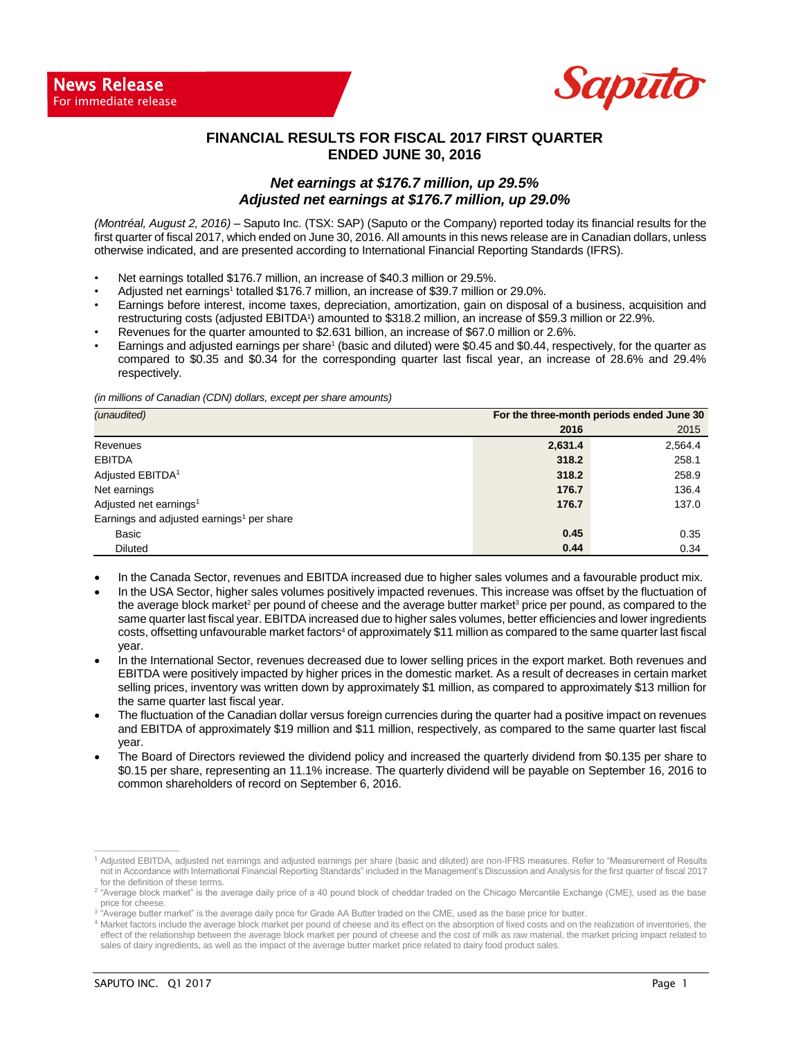

## **FINANCIAL RESULTS FOR FISCAL 2017 FIRST QUARTER ENDED JUNE 30, 2016**

#### *Net earnings at \$176.7 million, up 29.5% Adjusted net earnings at \$176.7 million, up 29.0%*

*(Montréal, August 2, 2016) –* Saputo Inc. (TSX: SAP) (Saputo or the Company) reported today its financial results for the first quarter of fiscal 2017, which ended on June 30, 2016. All amounts in this news release are in Canadian dollars, unless otherwise indicated, and are presented according to International Financial Reporting Standards (IFRS).

- Net earnings totalled \$176.7 million, an increase of \$40.3 million or 29.5%.
- Adjusted net earnings<sup>1</sup> totalled \$176.7 million, an increase of \$39.7 million or 29.0%.
- Earnings before interest, income taxes, depreciation, amortization, gain on disposal of a business, acquisition and restructuring costs (adjusted EBITDA<sup>1</sup>) amounted to \$318.2 million, an increase of \$59.3 million or 22.9%.
- Revenues for the quarter amounted to \$2.631 billion, an increase of \$67.0 million or 2.6%.
- Earnings and adjusted earnings per share<sup>1</sup> (basic and diluted) were \$0.45 and \$0.44, respectively, for the quarter as compared to \$0.35 and \$0.34 for the corresponding quarter last fiscal year, an increase of 28.6% and 29.4% respectively.

*(in millions of Canadian (CDN) dollars, except per share amounts)*

| (unaudited)                                           | For the three-month periods ended June 30 |         |  |  |  |
|-------------------------------------------------------|-------------------------------------------|---------|--|--|--|
|                                                       | 2016                                      | 2015    |  |  |  |
| Revenues                                              | 2,631.4                                   | 2,564.4 |  |  |  |
| <b>EBITDA</b>                                         | 318.2                                     | 258.1   |  |  |  |
| Adjusted EBITDA <sup>1</sup>                          | 318.2                                     | 258.9   |  |  |  |
| Net earnings                                          | 176.7                                     | 136.4   |  |  |  |
| Adjusted net earnings <sup>1</sup>                    | 176.7                                     | 137.0   |  |  |  |
| Earnings and adjusted earnings <sup>1</sup> per share |                                           |         |  |  |  |
| Basic                                                 | 0.45                                      | 0.35    |  |  |  |
| <b>Diluted</b>                                        | 0.44                                      | 0.34    |  |  |  |

- In the Canada Sector, revenues and EBITDA increased due to higher sales volumes and a favourable product mix.
- In the USA Sector, higher sales volumes positively impacted revenues. This increase was offset by the fluctuation of the average block market<sup>2</sup> per pound of cheese and the average butter market<sup>3</sup> price per pound, as compared to the same quarter last fiscal year. EBITDA increased due to higher sales volumes, better efficiencies and lower ingredients costs, offsetting unfavourable market factors<sup>4</sup> of approximately \$11 million as compared to the same quarter last fiscal year.
- In the International Sector, revenues decreased due to lower selling prices in the export market. Both revenues and EBITDA were positively impacted by higher prices in the domestic market. As a result of decreases in certain market selling prices, inventory was written down by approximately \$1 million, as compared to approximately \$13 million for the same quarter last fiscal year.
- The fluctuation of the Canadian dollar versus foreign currencies during the quarter had a positive impact on revenues and EBITDA of approximately \$19 million and \$11 million, respectively, as compared to the same quarter last fiscal year.
- The Board of Directors reviewed the dividend policy and increased the quarterly dividend from \$0.135 per share to \$0.15 per share, representing an 11.1% increase. The quarterly dividend will be payable on September 16, 2016 to common shareholders of record on September 6, 2016.

**\_\_\_\_\_\_\_\_\_\_\_\_\_\_\_\_\_\_\_\_\_\_\_\_\_\_\_**

<sup>1</sup> Adjusted EBITDA, adjusted net earnings and adjusted earnings per share (basic and diluted) are non-IFRS measures. Refer to "Measurement of Results not in Accordance with International Financial Reporting Standards" included in the Management's Discussion and Analysis for the first quarter of fiscal 2017 for the definition of these terms.

<sup>&</sup>lt;sup>2</sup> "Average block market" is the average daily price of a 40 pound block of cheddar traded on the Chicago Mercantile Exchange (CME), used as the base price for cheese.

<sup>&</sup>lt;sup>3</sup> "Average butter market" is the average daily price for Grade AA Butter traded on the CME, used as the base price for butter.

<sup>4</sup> Market factors include the average block market per pound of cheese and its effect on the absorption of fixed costs and on the realization of inventories, the effect of the relationship between the average block market per pound of cheese and the cost of milk as raw material, the market pricing impact related to sales of dairy ingredients, as well as the impact of the average butter market price related to dairy food product sales.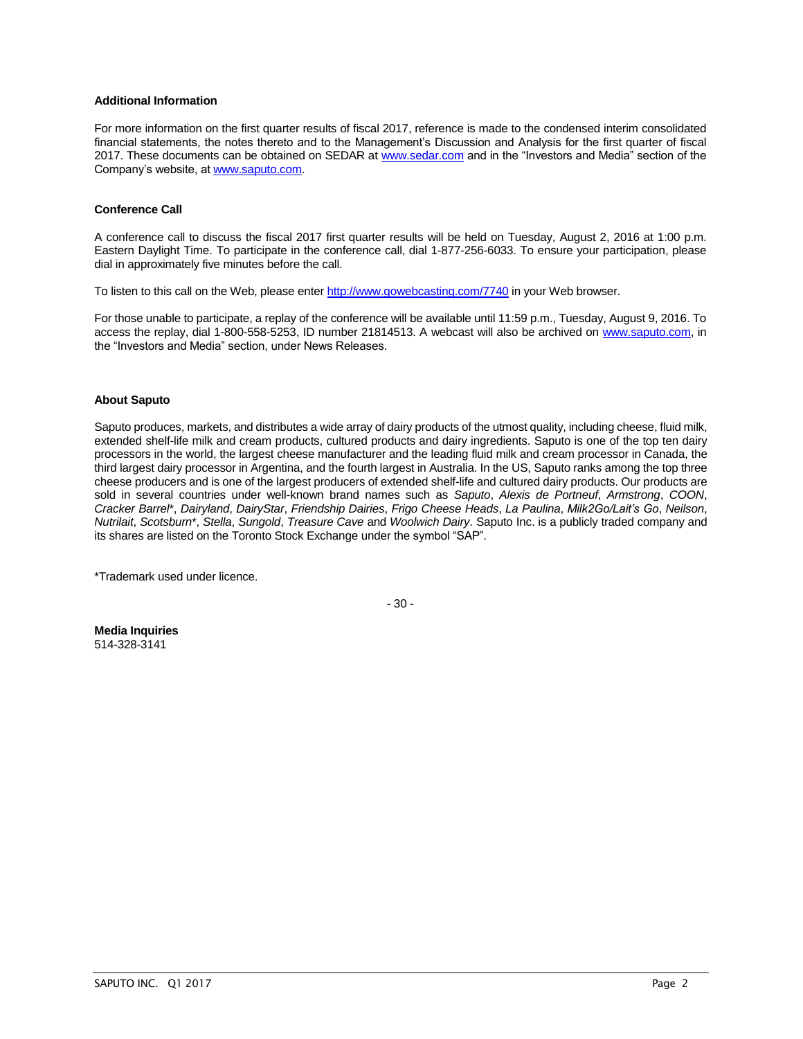#### **Additional Information**

For more information on the first quarter results of fiscal 2017, reference is made to the condensed interim consolidated financial statements, the notes thereto and to the Management's Discussion and Analysis for the first quarter of fiscal 2017. These documents can be obtained on SEDAR at [www.sedar.com](http://www.sedar.com/) and in the "Investors and Media" section of the Company's website, at [www.saputo.com.](http://www.saputo.com/)

#### **Conference Call**

A conference call to discuss the fiscal 2017 first quarter results will be held on Tuesday, August 2, 2016 at 1:00 p.m. Eastern Daylight Time. To participate in the conference call, dial 1-877-256-6033. To ensure your participation, please dial in approximately five minutes before the call.

To listen to this call on the Web, please ente[r http://www.gowebcasting.com/7740](http://www.gowebcasting.com/7740) in your Web browser.

For those unable to participate, a replay of the conference will be available until 11:59 p.m., Tuesday, August 9, 2016. To access the replay, dial 1-800-558-5253, ID number 21814513. A webcast will also be archived on [www.saputo.com,](http://www.saputo.com/) in the "Investors and Media" section, under News Releases.

#### **About Saputo**

Saputo produces, markets, and distributes a wide array of dairy products of the utmost quality, including cheese, fluid milk, extended shelf-life milk and cream products, cultured products and dairy ingredients. Saputo is one of the top ten dairy processors in the world, the largest cheese manufacturer and the leading fluid milk and cream processor in Canada, the third largest dairy processor in Argentina, and the fourth largest in Australia. In the US, Saputo ranks among the top three cheese producers and is one of the largest producers of extended shelf-life and cultured dairy products. Our products are sold in several countries under well-known brand names such as *Saputo*, *Alexis de Portneuf*, *Armstrong*, *COON*, *Cracker Barrel*\*, *Dairyland*, *DairyStar*, *Friendship Dairies*, *Frigo Cheese Heads*, *La Paulina*, *Milk2Go/Lait's Go*, *Neilson*, *Nutrilait*, *Scotsburn*\*, *Stella*, *Sungold*, *Treasure Cave* and *Woolwich Dairy*. Saputo Inc. is a publicly traded company and its shares are listed on the Toronto Stock Exchange under the symbol "SAP".

\*Trademark used under licence.

- 30 -

**Media Inquiries** 514-328-3141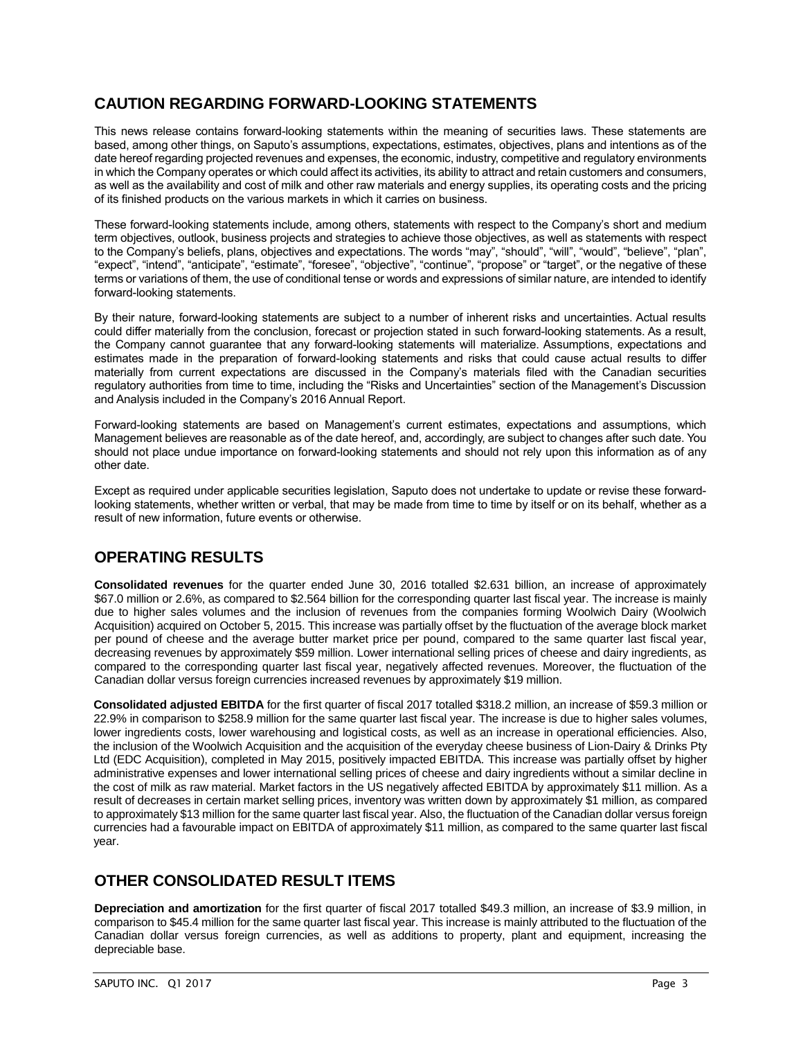# **CAUTION REGARDING FORWARD-LOOKING STATEMENTS**

This news release contains forward-looking statements within the meaning of securities laws. These statements are based, among other things, on Saputo's assumptions, expectations, estimates, objectives, plans and intentions as of the date hereof regarding projected revenues and expenses, the economic, industry, competitive and regulatory environments in which the Company operates or which could affect its activities, its ability to attract and retain customers and consumers, as well as the availability and cost of milk and other raw materials and energy supplies, its operating costs and the pricing of its finished products on the various markets in which it carries on business.

These forward-looking statements include, among others, statements with respect to the Company's short and medium term objectives, outlook, business projects and strategies to achieve those objectives, as well as statements with respect to the Company's beliefs, plans, objectives and expectations. The words "may", "should", "will", "would", "believe", "plan", "expect", "intend", "anticipate", "estimate", "foresee", "objective", "continue", "propose" or "target", or the negative of these terms or variations of them, the use of conditional tense or words and expressions of similar nature, are intended to identify forward-looking statements.

By their nature, forward-looking statements are subject to a number of inherent risks and uncertainties. Actual results could differ materially from the conclusion, forecast or projection stated in such forward-looking statements. As a result, the Company cannot guarantee that any forward-looking statements will materialize. Assumptions, expectations and estimates made in the preparation of forward-looking statements and risks that could cause actual results to differ materially from current expectations are discussed in the Company's materials filed with the Canadian securities regulatory authorities from time to time, including the "Risks and Uncertainties" section of the Management's Discussion and Analysis included in the Company's 2016 Annual Report.

Forward-looking statements are based on Management's current estimates, expectations and assumptions, which Management believes are reasonable as of the date hereof, and, accordingly, are subject to changes after such date. You should not place undue importance on forward-looking statements and should not rely upon this information as of any other date.

Except as required under applicable securities legislation, Saputo does not undertake to update or revise these forwardlooking statements, whether written or verbal, that may be made from time to time by itself or on its behalf, whether as a result of new information, future events or otherwise.

# **OPERATING RESULTS**

**Consolidated revenues** for the quarter ended June 30, 2016 totalled \$2.631 billion, an increase of approximately \$67.0 million or 2.6%, as compared to \$2.564 billion for the corresponding quarter last fiscal year. The increase is mainly due to higher sales volumes and the inclusion of revenues from the companies forming Woolwich Dairy (Woolwich Acquisition) acquired on October 5, 2015. This increase was partially offset by the fluctuation of the average block market per pound of cheese and the average butter market price per pound, compared to the same quarter last fiscal year, decreasing revenues by approximately \$59 million. Lower international selling prices of cheese and dairy ingredients, as compared to the corresponding quarter last fiscal year, negatively affected revenues. Moreover, the fluctuation of the Canadian dollar versus foreign currencies increased revenues by approximately \$19 million.

**Consolidated adjusted EBITDA** for the first quarter of fiscal 2017 totalled \$318.2 million, an increase of \$59.3 million or 22.9% in comparison to \$258.9 million for the same quarter last fiscal year. The increase is due to higher sales volumes, lower ingredients costs, lower warehousing and logistical costs, as well as an increase in operational efficiencies. Also, the inclusion of the Woolwich Acquisition and the acquisition of the everyday cheese business of Lion-Dairy & Drinks Pty Ltd (EDC Acquisition), completed in May 2015, positively impacted EBITDA. This increase was partially offset by higher administrative expenses and lower international selling prices of cheese and dairy ingredients without a similar decline in the cost of milk as raw material. Market factors in the US negatively affected EBITDA by approximately \$11 million. As a result of decreases in certain market selling prices, inventory was written down by approximately \$1 million, as compared to approximately \$13 million for the same quarter last fiscal year. Also, the fluctuation of the Canadian dollar versus foreign currencies had a favourable impact on EBITDA of approximately \$11 million, as compared to the same quarter last fiscal year.

## **OTHER CONSOLIDATED RESULT ITEMS**

**Depreciation and amortization** for the first quarter of fiscal 2017 totalled \$49.3 million, an increase of \$3.9 million, in comparison to \$45.4 million for the same quarter last fiscal year. This increase is mainly attributed to the fluctuation of the Canadian dollar versus foreign currencies, as well as additions to property, plant and equipment, increasing the depreciable base.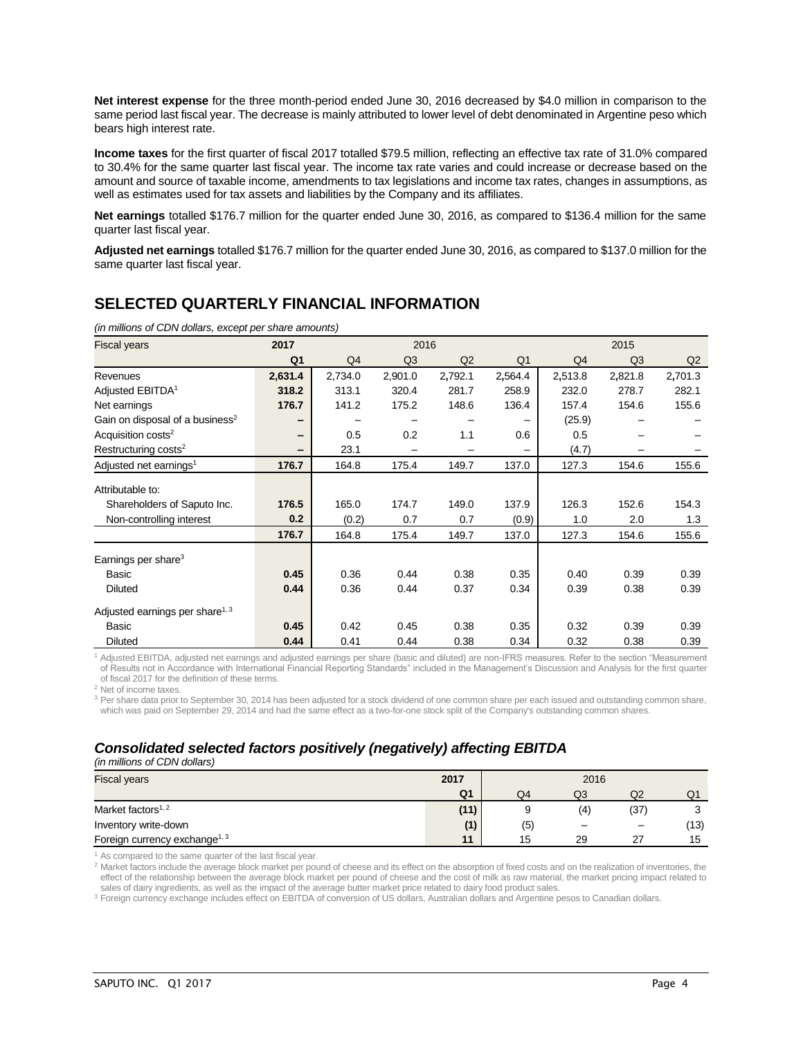**Net interest expense** for the three month-period ended June 30, 2016 decreased by \$4.0 million in comparison to the same period last fiscal year. The decrease is mainly attributed to lower level of debt denominated in Argentine peso which bears high interest rate.

**Income taxes** for the first quarter of fiscal 2017 totalled \$79.5 million, reflecting an effective tax rate of 31.0% compared to 30.4% for the same quarter last fiscal year. The income tax rate varies and could increase or decrease based on the amount and source of taxable income, amendments to tax legislations and income tax rates, changes in assumptions, as well as estimates used for tax assets and liabilities by the Company and its affiliates.

**Net earnings** totalled \$176.7 million for the quarter ended June 30, 2016, as compared to \$136.4 million for the same quarter last fiscal year.

**Adjusted net earnings** totalled \$176.7 million for the quarter ended June 30, 2016, as compared to \$137.0 million for the same quarter last fiscal year.

# **SELECTED QUARTERLY FINANCIAL INFORMATION**

*(in millions of CDN dollars, except per share amounts)*

| <b>Fiscal years</b>                         | 2017           |                | 2016           |         |                |         | 2015           |         |
|---------------------------------------------|----------------|----------------|----------------|---------|----------------|---------|----------------|---------|
|                                             | Q <sub>1</sub> | Q <sub>4</sub> | Q <sub>3</sub> | Q2      | Q <sub>1</sub> | Q4      | Q <sub>3</sub> | Q2      |
| Revenues                                    | 2,631.4        | 2,734.0        | 2,901.0        | 2,792.1 | 2,564.4        | 2,513.8 | 2,821.8        | 2,701.3 |
| Adjusted EBITDA <sup>1</sup>                | 318.2          | 313.1          | 320.4          | 281.7   | 258.9          | 232.0   | 278.7          | 282.1   |
| Net earnings                                | 176.7          | 141.2          | 175.2          | 148.6   | 136.4          | 157.4   | 154.6          | 155.6   |
| Gain on disposal of a business <sup>2</sup> |                |                |                |         |                | (25.9)  |                |         |
| Acquisition costs <sup>2</sup>              | -              | 0.5            | 0.2            | 1.1     | 0.6            | 0.5     |                |         |
| Restructuring costs <sup>2</sup>            | -              | 23.1           |                |         |                | (4.7)   |                |         |
| Adjusted net earnings <sup>1</sup>          | 176.7          | 164.8          | 175.4          | 149.7   | 137.0          | 127.3   | 154.6          | 155.6   |
| Attributable to:                            |                |                |                |         |                |         |                |         |
| Shareholders of Saputo Inc.                 | 176.5          | 165.0          | 174.7          | 149.0   | 137.9          | 126.3   | 152.6          | 154.3   |
| Non-controlling interest                    | 0.2            | (0.2)          | 0.7            | 0.7     | (0.9)          | 1.0     | 2.0            | 1.3     |
|                                             | 176.7          | 164.8          | 175.4          | 149.7   | 137.0          | 127.3   | 154.6          | 155.6   |
| Earnings per share $3$                      |                |                |                |         |                |         |                |         |
| Basic                                       | 0.45           | 0.36           | 0.44           | 0.38    | 0.35           | 0.40    | 0.39           | 0.39    |
| <b>Diluted</b>                              | 0.44           | 0.36           | 0.44           | 0.37    | 0.34           | 0.39    | 0.38           | 0.39    |
| Adjusted earnings per share <sup>1, 3</sup> |                |                |                |         |                |         |                |         |
| Basic                                       | 0.45           | 0.42           | 0.45           | 0.38    | 0.35           | 0.32    | 0.39           | 0.39    |
| <b>Diluted</b>                              | 0.44           | 0.41           | 0.44           | 0.38    | 0.34           | 0.32    | 0.38           | 0.39    |

<sup>1</sup> Adjusted EBITDA, adjusted net earnings and adjusted earnings per share (basic and diluted) are non-IFRS measures. Refer to the section "Measurement of Results not in Accordance with International Financial Reporting Standards" included in the Management's Discussion and Analysis for the first quarter of fiscal 2017 for the definition of these terms.

<sup>2</sup> Net of income taxes.

<sup>3</sup> Per share data prior to September 30, 2014 has been adjusted for a stock dividend of one common share per each issued and outstanding common share, which was paid on September 29, 2014 and had the same effect as a two-for-one stock split of the Company's outstanding common shares.

## *Consolidated selected factors positively (negatively) affecting EBITDA*

*(in millions of CDN dollars)*

| <b>Fiscal years</b>                       | 2017           | 2016 |     |                          |      |  |
|-------------------------------------------|----------------|------|-----|--------------------------|------|--|
|                                           | Q <sub>1</sub> | Q4   | Q3  | Q <sub>2</sub>           | Ő.   |  |
| Market factors <sup>1, 2</sup>            | (11)           |      | (4) | (37)                     |      |  |
| Inventory write-down                      | (1)            | (5)  |     | $\overline{\phantom{m}}$ | (13) |  |
| Foreign currency exchange <sup>1, 3</sup> | 11             | 15   | 29  | 27                       | 15   |  |

 $1$  As compared to the same quarter of the last fiscal year.

<sup>2</sup> Market factors include the average block market per pound of cheese and its effect on the absorption of fixed costs and on the realization of inventories, the effect of the relationship between the average block market per pound of cheese and the cost of milk as raw material, the market pricing impact related to sales of dairy ingredients, as well as the impact of the average butter market price related to dairy food product sales.

<sup>3</sup> Foreign currency exchange includes effect on EBITDA of conversion of US dollars, Australian dollars and Argentine pesos to Canadian dollars.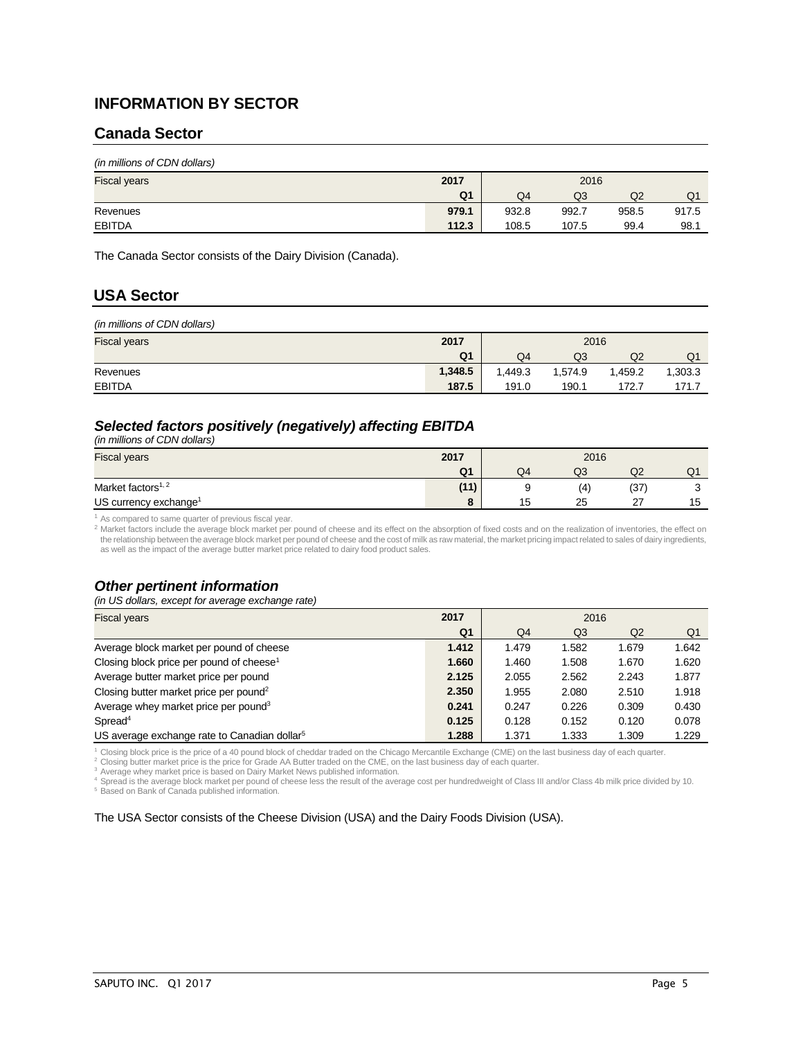## **INFORMATION BY SECTOR**

### **Canada Sector**

| <b>Fiscal years</b> | 2017           | 2016  |       |                |       |  |
|---------------------|----------------|-------|-------|----------------|-------|--|
|                     | Q <sub>1</sub> | Q4    | Q3    | Q <sub>2</sub> | Q1    |  |
| Revenues            | 979.1          | 932.8 | 992.7 | 958.5          | 917.5 |  |
| <b>EBITDA</b>       | 112.3          | 108.5 | 107.5 | 99.4           | 98.1  |  |

The Canada Sector consists of the Dairy Division (Canada).

## **USA Sector**

| (in millions of CDN dollars) |         |         |         |         |         |  |
|------------------------------|---------|---------|---------|---------|---------|--|
| <b>Fiscal years</b>          | 2017    | 2016    |         |         |         |  |
|                              | Q1      | Q4      | Q3      | Q2      | Q1      |  |
| Revenues                     | 1,348.5 | 1.449.3 | 1.574.9 | 1,459.2 | 1,303.3 |  |
| <b>EBITDA</b>                | 187.5   | 191.0   | 190.1   | 172.7   | 171.7   |  |

## *Selected factors positively (negatively) affecting EBITDA*

*(in millions of CDN dollars)* 

| <b>Fiscal years</b>               | 2017           | 2016 |     |        |    |  |
|-----------------------------------|----------------|------|-----|--------|----|--|
|                                   | Q <sub>1</sub> | Q4   | Q3  | Q2     | U. |  |
| Market factors <sup>1, 2</sup>    | (11)           |      | (4) | (37)   |    |  |
| US currency exchange <sup>1</sup> |                | 15   | 25  | $\sim$ | 15 |  |

<sup>1</sup> As compared to same quarter of previous fiscal year.

2 Market factors include the average block market per pound of cheese and its effect on the absorption of fixed costs and on the realization of inventories, the effect on the relationship between the average block market per pound of cheese and the cost of milk as raw material, the market pricing impact related to sales of dairy ingredients, as well as the impact of the average butter market price related to dairy food product sales.

### *Other pertinent information*

*(in US dollars, except for average exchange rate)* 

| <b>Fiscal years</b>                                      | 2017           | 2016  |       |       |       |  |
|----------------------------------------------------------|----------------|-------|-------|-------|-------|--|
|                                                          | Q <sub>1</sub> | Q4    | Q3    | Q2    | Q1    |  |
| Average block market per pound of cheese                 | 1.412          | 1.479 | 1.582 | 1.679 | 1.642 |  |
| Closing block price per pound of cheese <sup>1</sup>     | 1.660          | 1.460 | 1.508 | 1.670 | 1.620 |  |
| Average butter market price per pound                    | 2.125          | 2.055 | 2.562 | 2.243 | 1.877 |  |
| Closing butter market price per pound <sup>2</sup>       | 2.350          | 1.955 | 2.080 | 2.510 | 1.918 |  |
| Average whey market price per pound <sup>3</sup>         | 0.241          | 0.247 | 0.226 | 0.309 | 0.430 |  |
| Spread <sup>4</sup>                                      | 0.125          | 0.128 | 0.152 | 0.120 | 0.078 |  |
| US average exchange rate to Canadian dollar <sup>5</sup> | 1.288          | 1.371 | 1.333 | 1.309 | 1.229 |  |

<sup>1</sup> Closing block price is the price of a 40 pound block of cheddar traded on the Chicago Mercantile Exchange (CME) on the last business day of each quarter.

<sup>2</sup> Closing butter market price is the price for Grade AA Butter traded on the CME, on the last business day of each quarter.

<sup>3</sup> Average whey market price is based on Dairy Market News published information.

<sup>4</sup> Spread is the average block market per pound of cheese less the result of the average cost per hundredweight of Class III and/or Class 4b milk price divided by 10.<br><sup>5</sup> Based on Bank of Canada published information.

The USA Sector consists of the Cheese Division (USA) and the Dairy Foods Division (USA).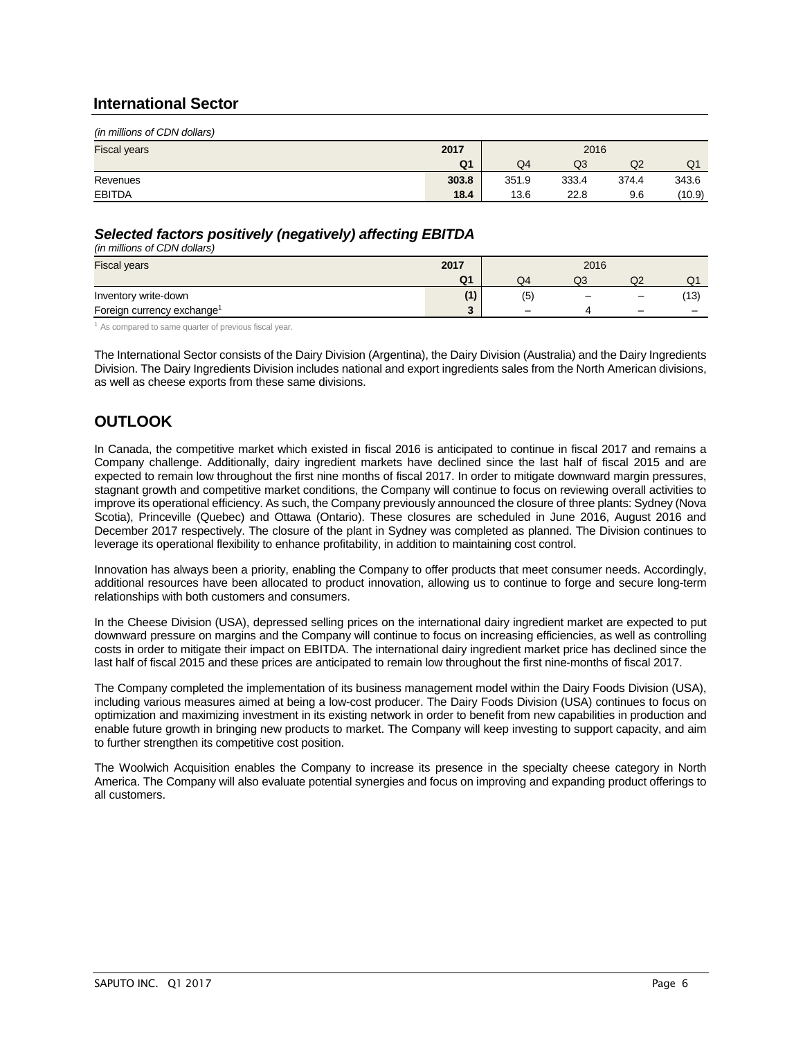### **International Sector**

| (in millions of CDN dollars) |                |       |       |       |        |  |  |
|------------------------------|----------------|-------|-------|-------|--------|--|--|
| <b>Fiscal years</b>          | 2017<br>2016   |       |       |       |        |  |  |
|                              | Q <sub>1</sub> | Q4    | Q3    | Q2    | Q1     |  |  |
| Revenues                     | 303.8          | 351.9 | 333.4 | 374.4 | 343.6  |  |  |
| <b>EBITDA</b>                | 18.4           | 13.6  | 22.8  | 9.6   | (10.9) |  |  |

### *Selected factors positively (negatively) affecting EBITDA*

*(in millions of CDN dollars)* 

| <b>Fiscal years</b>                    | 2017           | 2016 |    |                          |    |  |
|----------------------------------------|----------------|------|----|--------------------------|----|--|
|                                        | Q <sub>1</sub> | Q4   | Q3 | wz                       | w  |  |
| Inventory write-down                   | $\overline{A}$ | (5)  |    |                          | 13 |  |
| Foreign currency exchange <sup>1</sup> | ◠<br>$\sim$    |      |    | $\overline{\phantom{m}}$ |    |  |

<sup>1</sup> As compared to same quarter of previous fiscal year.

The International Sector consists of the Dairy Division (Argentina), the Dairy Division (Australia) and the Dairy Ingredients Division. The Dairy Ingredients Division includes national and export ingredients sales from the North American divisions, as well as cheese exports from these same divisions.

# **OUTLOOK**

In Canada, the competitive market which existed in fiscal 2016 is anticipated to continue in fiscal 2017 and remains a Company challenge. Additionally, dairy ingredient markets have declined since the last half of fiscal 2015 and are expected to remain low throughout the first nine months of fiscal 2017. In order to mitigate downward margin pressures, stagnant growth and competitive market conditions, the Company will continue to focus on reviewing overall activities to improve its operational efficiency. As such, the Company previously announced the closure of three plants: Sydney (Nova Scotia), Princeville (Quebec) and Ottawa (Ontario). These closures are scheduled in June 2016, August 2016 and December 2017 respectively. The closure of the plant in Sydney was completed as planned. The Division continues to leverage its operational flexibility to enhance profitability, in addition to maintaining cost control.

Innovation has always been a priority, enabling the Company to offer products that meet consumer needs. Accordingly, additional resources have been allocated to product innovation, allowing us to continue to forge and secure long-term relationships with both customers and consumers.

In the Cheese Division (USA), depressed selling prices on the international dairy ingredient market are expected to put downward pressure on margins and the Company will continue to focus on increasing efficiencies, as well as controlling costs in order to mitigate their impact on EBITDA. The international dairy ingredient market price has declined since the last half of fiscal 2015 and these prices are anticipated to remain low throughout the first nine-months of fiscal 2017.

The Company completed the implementation of its business management model within the Dairy Foods Division (USA), including various measures aimed at being a low-cost producer. The Dairy Foods Division (USA) continues to focus on optimization and maximizing investment in its existing network in order to benefit from new capabilities in production and enable future growth in bringing new products to market. The Company will keep investing to support capacity, and aim to further strengthen its competitive cost position.

The Woolwich Acquisition enables the Company to increase its presence in the specialty cheese category in North America. The Company will also evaluate potential synergies and focus on improving and expanding product offerings to all customers.